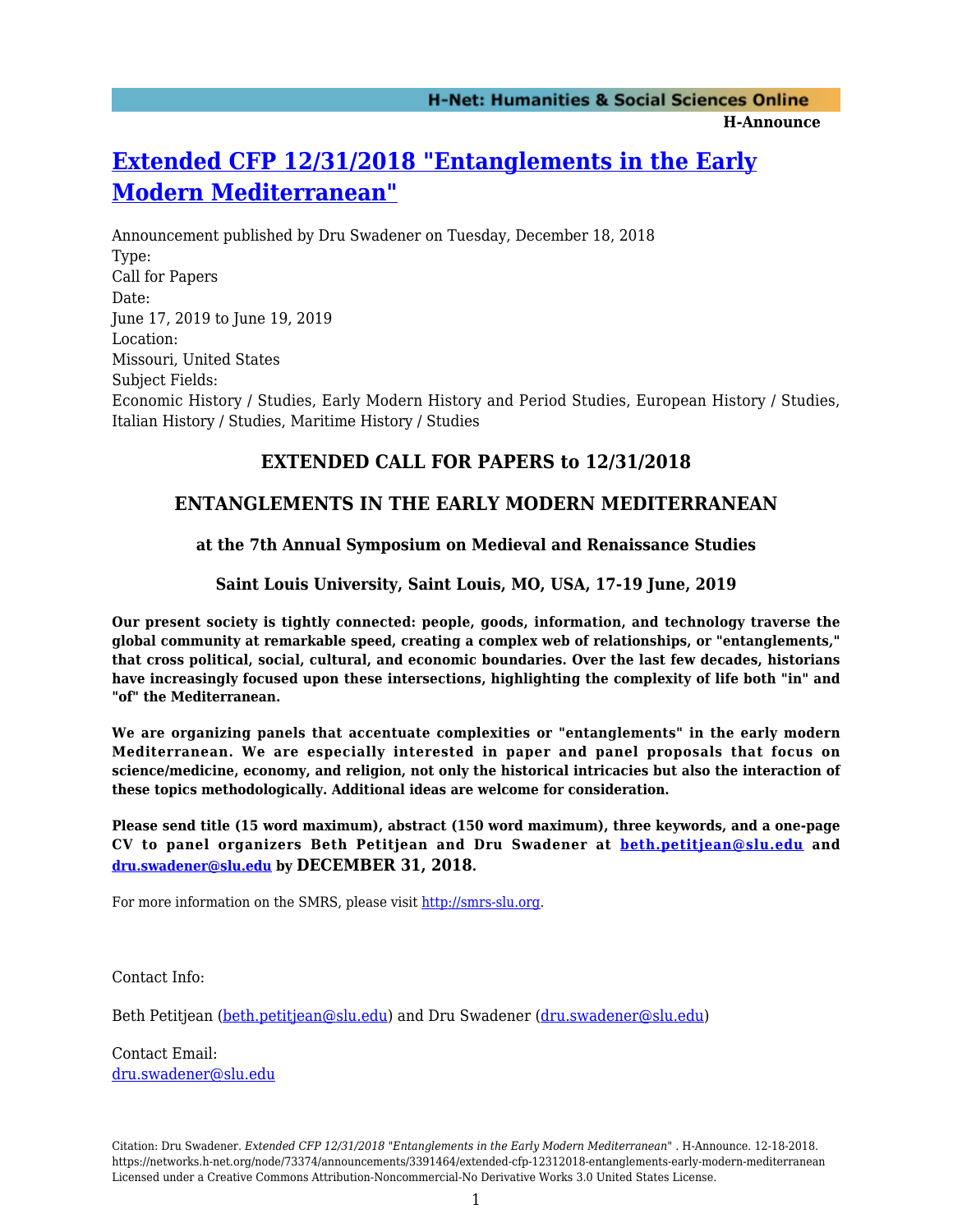# **[Extended CFP 12/31/2018 "Entanglements in the Early](https://networks.h-net.org/node/73374/announcements/3391464/extended-cfp-12312018-entanglements-early-modern-mediterranean) [Modern Mediterranean"](https://networks.h-net.org/node/73374/announcements/3391464/extended-cfp-12312018-entanglements-early-modern-mediterranean)**

Announcement published by Dru Swadener on Tuesday, December 18, 2018 Type: Call for Papers Date: June 17, 2019 to June 19, 2019 Location: Missouri, United States Subject Fields: Economic History / Studies, Early Modern History and Period Studies, European History / Studies, Italian History / Studies, Maritime History / Studies

### **EXTENDED CALL FOR PAPERS to 12/31/2018**

## **ENTANGLEMENTS IN THE EARLY MODERN MEDITERRANEAN**

#### **at the 7th Annual Symposium on Medieval and Renaissance Studies**

#### **Saint Louis University, Saint Louis, MO, USA, 17-19 June, 2019**

**Our present society is tightly connected: people, goods, information, and technology traverse the global community at remarkable speed, creating a complex web of relationships, or "entanglements," that cross political, social, cultural, and economic boundaries. Over the last few decades, historians have increasingly focused upon these intersections, highlighting the complexity of life both "in" and "of" the Mediterranean.**

**We are organizing panels that accentuate complexities or "entanglements" in the early modern Mediterranean. We are especially interested in paper and panel proposals that focus on science/medicine, economy, and religion, not only the historical intricacies but also the interaction of these topics methodologically. Additional ideas are welcome for consideration.**

**Please send title (15 word maximum), abstract (150 word maximum), three keywords, and a one-page CV to panel organizers Beth Petitjean and Dru Swadener at [beth.petitjean@slu.edu](mailto:beth.petitjean@slu.edu) and [dru.swadener@slu.edu](mailto:dru.swadener@slu.edu) by DECEMBER 31, 2018.**

For more information on the SMRS, please visit<http://smrs-slu.org>.

Contact Info:

Beth Petitjean [\(beth.petitjean@slu.edu](mailto:beth.petitjean@slu.edu)) and Dru Swadener ([dru.swadener@slu.edu](mailto:dru.swadener@slu.edu))

Contact Email: [dru.swadener@slu.edu](mailto:dru.swadener@slu.edu)

Citation: Dru Swadener. *Extended CFP 12/31/2018 "Entanglements in the Early Modern Mediterranean"* . H-Announce. 12-18-2018. https://networks.h-net.org/node/73374/announcements/3391464/extended-cfp-12312018-entanglements-early-modern-mediterranean Licensed under a Creative Commons Attribution-Noncommercial-No Derivative Works 3.0 United States License.